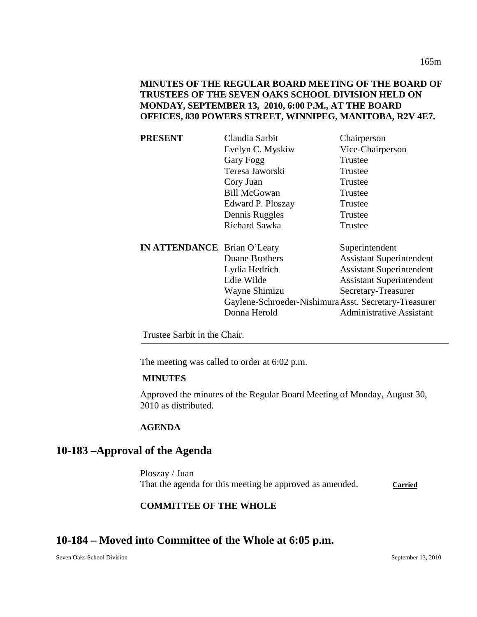| <b>PRESENT</b>                     | Claudia Sarbit                                        | Chairperson                     |
|------------------------------------|-------------------------------------------------------|---------------------------------|
|                                    | Evelyn C. Myskiw                                      | Vice-Chairperson                |
|                                    | Gary Fogg                                             | Trustee                         |
|                                    | Teresa Jaworski                                       | Trustee                         |
|                                    | Cory Juan                                             | Trustee                         |
|                                    | <b>Bill McGowan</b>                                   | Trustee                         |
|                                    | Edward P. Ploszay                                     | Trustee                         |
|                                    | Dennis Ruggles                                        | Trustee                         |
|                                    | <b>Richard Sawka</b>                                  | Trustee                         |
| <b>IN ATTENDANCE</b> Brian O'Leary |                                                       | Superintendent                  |
|                                    | Duane Brothers                                        | <b>Assistant Superintendent</b> |
|                                    | Lydia Hedrich                                         | <b>Assistant Superintendent</b> |
|                                    | Edie Wilde                                            | <b>Assistant Superintendent</b> |
|                                    | Wayne Shimizu                                         | Secretary-Treasurer             |
|                                    | Gaylene-Schroeder-Nishimura Asst. Secretary-Treasurer |                                 |
|                                    | Donna Herold                                          | <b>Administrative Assistant</b> |
|                                    |                                                       |                                 |

Trustee Sarbit in the Chair.

The meeting was called to order at 6:02 p.m.

#### **MINUTES**

Approved the minutes of the Regular Board Meeting of Monday, August 30, 2010 as distributed.

#### **AGENDA**

## **10-183 –Approval of the Agenda**

Ploszay / Juan That the agenda for this meeting be approved as amended. Carried

## **COMMITTEE OF THE WHOLE**

## **10-184 – Moved into Committee of the Whole at 6:05 p.m.**

Seven Oaks School Division September 13, 2010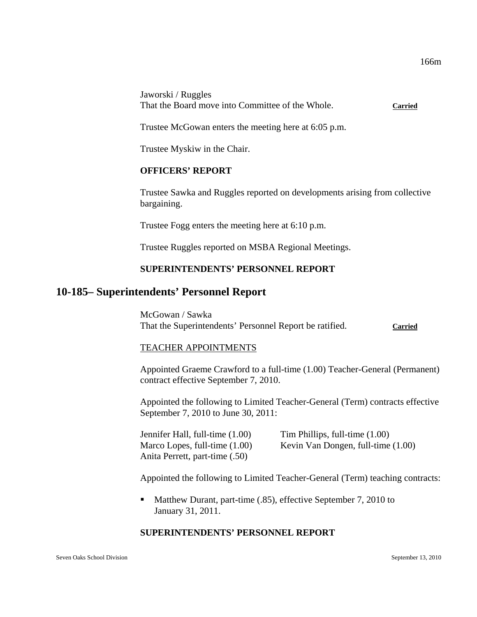Jaworski / Ruggles That the Board move into Committee of the Whole. **Carried**

Trustee McGowan enters the meeting here at 6:05 p.m.

Trustee Myskiw in the Chair.

#### **OFFICERS' REPORT**

Trustee Sawka and Ruggles reported on developments arising from collective bargaining.

Trustee Fogg enters the meeting here at 6:10 p.m.

Trustee Ruggles reported on MSBA Regional Meetings.

#### **SUPERINTENDENTS' PERSONNEL REPORT**

## **10-185– Superintendents' Personnel Report**

McGowan / Sawka That the Superintendents' Personnel Report be ratified. **Carried**

#### TEACHER APPOINTMENTS

Appointed Graeme Crawford to a full-time (1.00) Teacher-General (Permanent) contract effective September 7, 2010.

Appointed the following to Limited Teacher-General (Term) contracts effective September 7, 2010 to June 30, 2011:

Anita Perrett, part-time (.50)

Jennifer Hall, full-time (1.00) Tim Phillips, full-time (1.00) Marco Lopes, full-time (1.00) Kevin Van Dongen, full-time (1.00)

Appointed the following to Limited Teacher-General (Term) teaching contracts:

 Matthew Durant, part-time (.85), effective September 7, 2010 to January 31, 2011.

#### **SUPERINTENDENTS' PERSONNEL REPORT**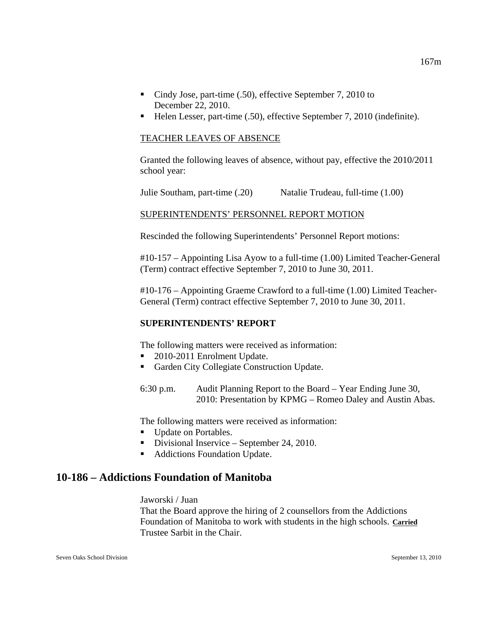- Cindy Jose, part-time (.50), effective September 7, 2010 to December 22, 2010.
- Helen Lesser, part-time (.50), effective September 7, 2010 (indefinite).

#### TEACHER LEAVES OF ABSENCE

Granted the following leaves of absence, without pay, effective the 2010/2011 school year:

Julie Southam, part-time (.20) Natalie Trudeau, full-time (1.00)

#### SUPERINTENDENTS' PERSONNEL REPORT MOTION

Rescinded the following Superintendents' Personnel Report motions:

#10-157 – Appointing Lisa Ayow to a full-time (1.00) Limited Teacher-General (Term) contract effective September 7, 2010 to June 30, 2011.

#10-176 – Appointing Graeme Crawford to a full-time (1.00) Limited Teacher-General (Term) contract effective September 7, 2010 to June 30, 2011.

#### **SUPERINTENDENTS' REPORT**

The following matters were received as information:

- 2010-2011 Enrolment Update.
- Garden City Collegiate Construction Update.

6:30 p.m. Audit Planning Report to the Board – Year Ending June 30, 2010: Presentation by KPMG – Romeo Daley and Austin Abas.

The following matters were received as information:

- Update on Portables.
- Divisional Inservice September 24, 2010.
- **Addictions Foundation Update.**

## **10-186 – Addictions Foundation of Manitoba**

Jaworski / Juan

That the Board approve the hiring of 2 counsellors from the Addictions Foundation of Manitoba to work with students in the high schools. **Carried** Trustee Sarbit in the Chair.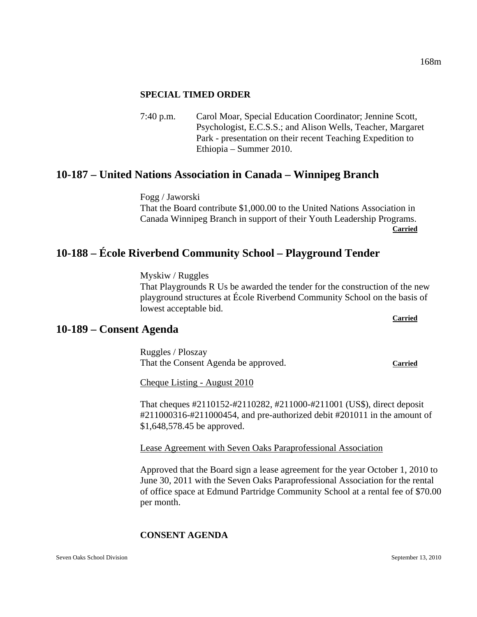#### **SPECIAL TIMED ORDER**

7:40 p.m. Carol Moar, Special Education Coordinator; Jennine Scott, Psychologist, E.C.S.S.; and Alison Wells, Teacher, Margaret Park - presentation on their recent Teaching Expedition to Ethiopia – Summer 2010.

## **10-187 – United Nations Association in Canada – Winnipeg Branch**

Fogg / Jaworski That the Board contribute \$1,000.00 to the United Nations Association in Canada Winnipeg Branch in support of their Youth Leadership Programs. **Carried** 

## **10-188 – École Riverbend Community School – Playground Tender**

Myskiw / Ruggles

That Playgrounds R Us be awarded the tender for the construction of the new playground structures at École Riverbend Community School on the basis of lowest acceptable bid.

**Carried** 

## **10-189 – Consent Agenda**

Ruggles / Ploszay That the Consent Agenda be approved. **Carried**

Cheque Listing - August 2010

That cheques #2110152-#2110282, #211000-#211001 (US\$), direct deposit #211000316-#211000454, and pre-authorized debit #201011 in the amount of \$1,648,578.45 be approved.

Lease Agreement with Seven Oaks Paraprofessional Association

Approved that the Board sign a lease agreement for the year October 1, 2010 to June 30, 2011 with the Seven Oaks Paraprofessional Association for the rental of office space at Edmund Partridge Community School at a rental fee of \$70.00 per month.

#### **CONSENT AGENDA**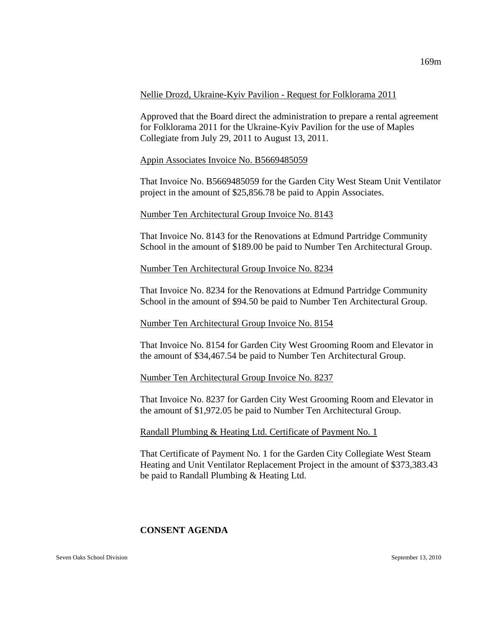# Nellie Drozd, Ukraine-Kyiv Pavilion - Request for Folklorama 2011

Approved that the Board direct the administration to prepare a rental agreement for Folklorama 2011 for the Ukraine-Kyiv Pavilion for the use of Maples Collegiate from July 29, 2011 to August 13, 2011.

#### Appin Associates Invoice No. B5669485059

That Invoice No. B5669485059 for the Garden City West Steam Unit Ventilator project in the amount of \$25,856.78 be paid to Appin Associates.

#### Number Ten Architectural Group Invoice No. 8143

That Invoice No. 8143 for the Renovations at Edmund Partridge Community School in the amount of \$189.00 be paid to Number Ten Architectural Group.

#### Number Ten Architectural Group Invoice No. 8234

That Invoice No. 8234 for the Renovations at Edmund Partridge Community School in the amount of \$94.50 be paid to Number Ten Architectural Group.

#### Number Ten Architectural Group Invoice No. 8154

That Invoice No. 8154 for Garden City West Grooming Room and Elevator in the amount of \$34,467.54 be paid to Number Ten Architectural Group.

#### Number Ten Architectural Group Invoice No. 8237

That Invoice No. 8237 for Garden City West Grooming Room and Elevator in the amount of \$1,972.05 be paid to Number Ten Architectural Group.

#### Randall Plumbing & Heating Ltd. Certificate of Payment No. 1

That Certificate of Payment No. 1 for the Garden City Collegiate West Steam Heating and Unit Ventilator Replacement Project in the amount of \$373,383.43 be paid to Randall Plumbing & Heating Ltd.

## **CONSENT AGENDA**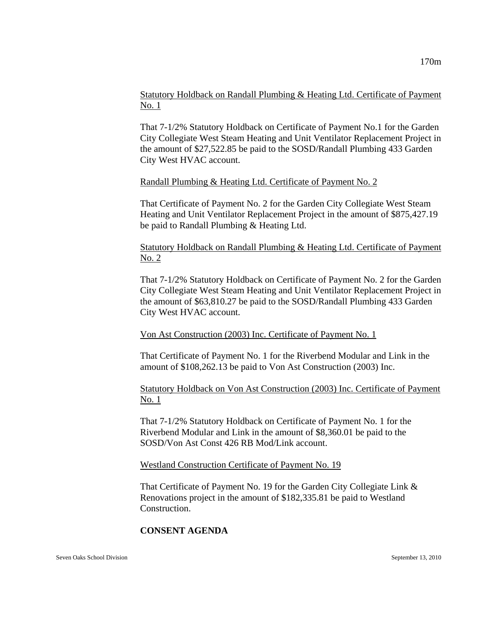## Statutory Holdback on Randall Plumbing & Heating Ltd. Certificate of Payment No. 1

That 7-1/2% Statutory Holdback on Certificate of Payment No.1 for the Garden City Collegiate West Steam Heating and Unit Ventilator Replacement Project in the amount of \$27,522.85 be paid to the SOSD/Randall Plumbing 433 Garden City West HVAC account.

#### Randall Plumbing & Heating Ltd. Certificate of Payment No. 2

That Certificate of Payment No. 2 for the Garden City Collegiate West Steam Heating and Unit Ventilator Replacement Project in the amount of \$875,427.19 be paid to Randall Plumbing & Heating Ltd.

## Statutory Holdback on Randall Plumbing & Heating Ltd. Certificate of Payment No. 2

That 7-1/2% Statutory Holdback on Certificate of Payment No. 2 for the Garden City Collegiate West Steam Heating and Unit Ventilator Replacement Project in the amount of \$63,810.27 be paid to the SOSD/Randall Plumbing 433 Garden City West HVAC account.

#### Von Ast Construction (2003) Inc. Certificate of Payment No. 1

That Certificate of Payment No. 1 for the Riverbend Modular and Link in the amount of \$108,262.13 be paid to Von Ast Construction (2003) Inc.

#### Statutory Holdback on Von Ast Construction (2003) Inc. Certificate of Payment No. 1

That 7-1/2% Statutory Holdback on Certificate of Payment No. 1 for the Riverbend Modular and Link in the amount of \$8,360.01 be paid to the SOSD/Von Ast Const 426 RB Mod/Link account.

#### Westland Construction Certificate of Payment No. 19

That Certificate of Payment No. 19 for the Garden City Collegiate Link & Renovations project in the amount of \$182,335.81 be paid to Westland Construction.

#### **CONSENT AGENDA**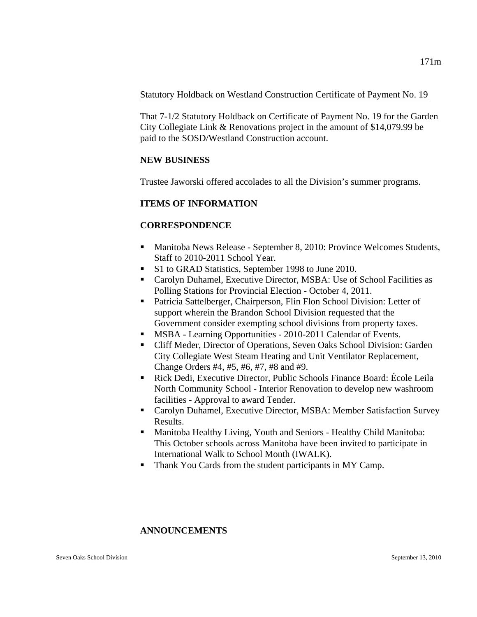## Statutory Holdback on Westland Construction Certificate of Payment No. 19

That 7-1/2 Statutory Holdback on Certificate of Payment No. 19 for the Garden City Collegiate Link & Renovations project in the amount of \$14,079.99 be paid to the SOSD/Westland Construction account.

## **NEW BUSINESS**

Trustee Jaworski offered accolades to all the Division's summer programs.

## **ITEMS OF INFORMATION**

## **CORRESPONDENCE**

- Manitoba News Release September 8, 2010: Province Welcomes Students, Staff to 2010-2011 School Year.
- S1 to GRAD Statistics, September 1998 to June 2010.
- Carolyn Duhamel, Executive Director, MSBA: Use of School Facilities as Polling Stations for Provincial Election - October 4, 2011.
- Patricia Sattelberger, Chairperson, Flin Flon School Division: Letter of support wherein the Brandon School Division requested that the Government consider exempting school divisions from property taxes.
- **MSBA Learning Opportunities 2010-2011 Calendar of Events.**
- Cliff Meder, Director of Operations, Seven Oaks School Division: Garden City Collegiate West Steam Heating and Unit Ventilator Replacement, Change Orders #4, #5, #6, #7, #8 and #9.
- Rick Dedi, Executive Director, Public Schools Finance Board: École Leila North Community School - Interior Renovation to develop new washroom facilities - Approval to award Tender.
- Carolyn Duhamel, Executive Director, MSBA: Member Satisfaction Survey Results.
- Manitoba Healthy Living, Youth and Seniors Healthy Child Manitoba: This October schools across Manitoba have been invited to participate in International Walk to School Month (IWALK).
- Thank You Cards from the student participants in MY Camp.

## **ANNOUNCEMENTS**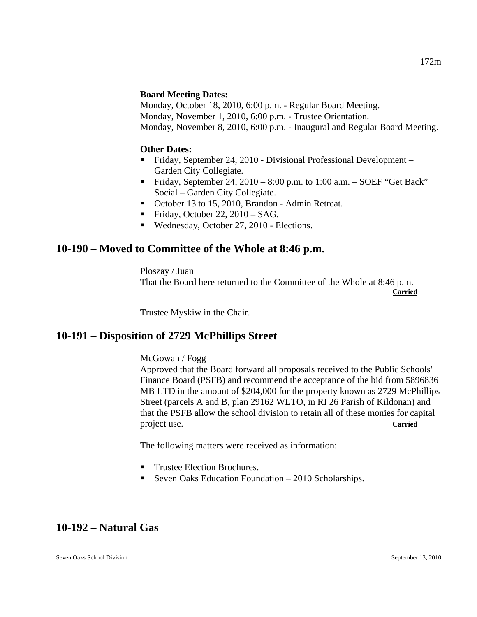#### **Board Meeting Dates:**

Monday, October 18, 2010, 6:00 p.m. - Regular Board Meeting. Monday, November 1, 2010, 6:00 p.m. - Trustee Orientation. Monday, November 8, 2010, 6:00 p.m. - Inaugural and Regular Board Meeting.

#### **Other Dates:**

- Friday, September 24, 2010 Divisional Professional Development Garden City Collegiate.
- Friday, September 24,  $2010 8:00$  p.m. to  $1:00$  a.m.  $-$  SOEF "Get Back" Social – Garden City Collegiate.
- October 13 to 15, 2010, Brandon Admin Retreat.
- Friday, October 22,  $2010 SAG$ .
- Wednesday, October 27, 2010 Elections.

## **10-190 – Moved to Committee of the Whole at 8:46 p.m.**

Ploszay / Juan That the Board here returned to the Committee of the Whole at 8:46 p.m. **Carried** 

Trustee Myskiw in the Chair.

## **10-191 – Disposition of 2729 McPhillips Street**

#### McGowan / Fogg

Approved that the Board forward all proposals received to the Public Schools' Finance Board (PSFB) and recommend the acceptance of the bid from 5896836 MB LTD in the amount of \$204,000 for the property known as 2729 McPhillips Street (parcels A and B, plan 29162 WLTO, in RI 26 Parish of Kildonan) and that the PSFB allow the school division to retain all of these monies for capital project use. **Carried**

The following matters were received as information:

- **Trustee Election Brochures.**
- Seven Oaks Education Foundation 2010 Scholarships.

## **10-192 – Natural Gas**